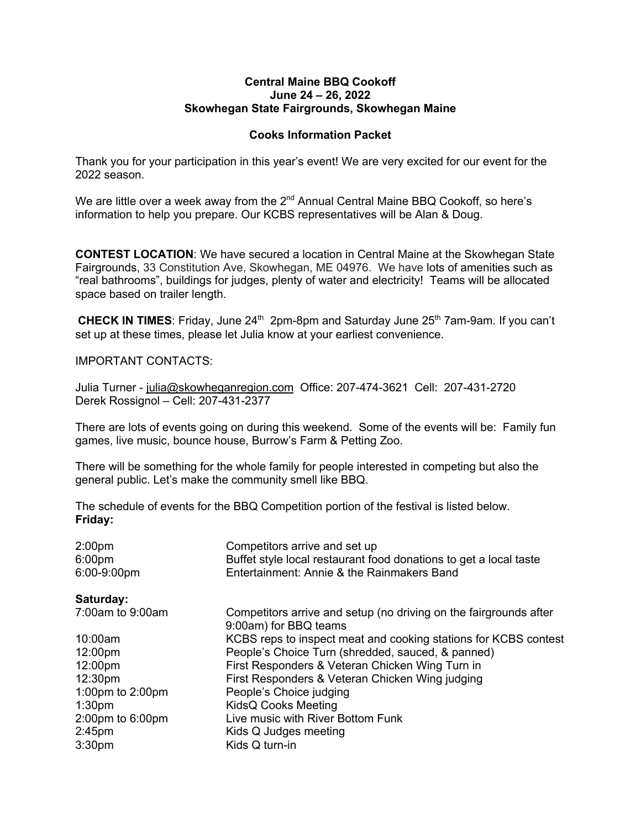#### **Central Maine BBQ Cookoff June 24 – 26, 2022 Skowhegan State Fairgrounds, Skowhegan Maine**

# **Cooks Information Packet**

Thank you for your participation in this year's event! We are very excited for our event for the 2022 season.

We are little over a week away from the  $2^{nd}$  Annual Central Maine BBQ Cookoff, so here's information to help you prepare. Our KCBS representatives will be Alan & Doug.

**CONTEST LOCATION**: We have secured a location in Central Maine at the Skowhegan State Fairgrounds, 33 Constitution Ave, Skowhegan, ME 04976. We have lots of amenities such as "real bathrooms", buildings for judges, plenty of water and electricity! Teams will be allocated space based on trailer length.

**CHECK IN TIMES:** Friday, June 24<sup>th</sup> 2pm-8pm and Saturday June 25<sup>th</sup> 7am-9am. If you can't set up at these times, please let Julia know at your earliest convenience.

IMPORTANT CONTACTS:

Julia Turner - julia@skowheganregion.com Office: 207-474-3621 Cell: 207-431-2720 Derek Rossignol – Cell: 207-431-2377

There are lots of events going on during this weekend. Some of the events will be: Family fun games, live music, bounce house, Burrow's Farm & Petting Zoo.

There will be something for the whole family for people interested in competing but also the general public. Let's make the community smell like BBQ.

The schedule of events for the BBQ Competition portion of the festival is listed below. **Friday:**

| 2:00 <sub>pm</sub><br>6:00pm<br>6:00-9:00pm | Competitors arrive and set up<br>Buffet style local restaurant food donations to get a local taste<br>Entertainment: Annie & the Rainmakers Band |
|---------------------------------------------|--------------------------------------------------------------------------------------------------------------------------------------------------|
| Saturday:                                   |                                                                                                                                                  |
| 7:00am to 9:00am                            | Competitors arrive and setup (no driving on the fairgrounds after<br>9:00am) for BBQ teams                                                       |
| 10:00am                                     | KCBS reps to inspect meat and cooking stations for KCBS contest                                                                                  |
| 12:00pm                                     | People's Choice Turn (shredded, sauced, & panned)                                                                                                |
| 12:00pm                                     | First Responders & Veteran Chicken Wing Turn in                                                                                                  |
| 12:30 <sub>pm</sub>                         | First Responders & Veteran Chicken Wing judging                                                                                                  |
| 1:00pm to $2:00$ pm                         | People's Choice judging                                                                                                                          |
| 1:30 <sub>pm</sub>                          | <b>KidsQ Cooks Meeting</b>                                                                                                                       |
| $2:00$ pm to $6:00$ pm                      | Live music with River Bottom Funk                                                                                                                |
| $2:45$ pm                                   | Kids Q Judges meeting                                                                                                                            |
| 3:30 <sub>pm</sub>                          | Kids Q turn-in                                                                                                                                   |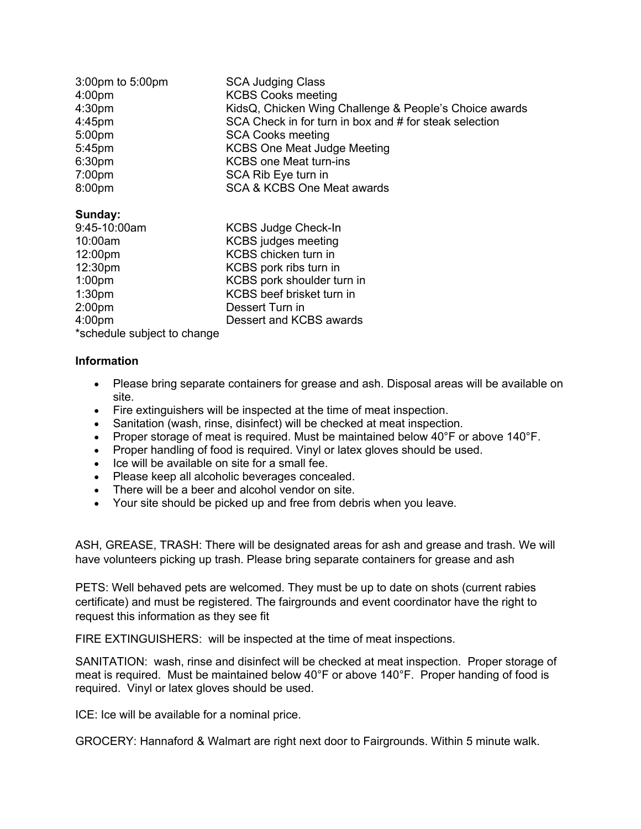| 3:00pm to 5:00pm   | <b>SCA Judging Class</b>                               |
|--------------------|--------------------------------------------------------|
| 4:00 <sub>pm</sub> | <b>KCBS Cooks meeting</b>                              |
| 4:30 <sub>pm</sub> | KidsQ, Chicken Wing Challenge & People's Choice awards |
| $4:45$ pm          | SCA Check in for turn in box and # for steak selection |
| 5:00 <sub>pm</sub> | <b>SCA Cooks meeting</b>                               |
| 5:45pm             | <b>KCBS One Meat Judge Meeting</b>                     |
| 6:30pm             | <b>KCBS one Meat turn-ins</b>                          |
| 7:00 <sub>pm</sub> | SCA Rib Eye turn in                                    |
| 8:00pm             | SCA & KCBS One Meat awards                             |
|                    |                                                        |

## **Sunday:**

| 9:45-10:00am       | <b>KCBS Judge Check-In</b> |
|--------------------|----------------------------|
| 10:00am            | <b>KCBS</b> judges meeting |
| 12:00pm            | KCBS chicken turn in       |
| 12:30pm            | KCBS pork ribs turn in     |
| 1:00 <sub>pm</sub> | KCBS pork shoulder turn in |
| 1:30 <sub>pm</sub> | KCBS beef brisket turn in  |
| 2:00 <sub>pm</sub> | Dessert Turn in            |
| 4:00 <sub>pm</sub> | Dessert and KCBS awards    |
| .                  |                            |

\*schedule subject to change

### **Information**

- Please bring separate containers for grease and ash. Disposal areas will be available on site.
- Fire extinguishers will be inspected at the time of meat inspection.
- Sanitation (wash, rinse, disinfect) will be checked at meat inspection.
- Proper storage of meat is required. Must be maintained below 40°F or above 140°F.
- Proper handling of food is required. Vinyl or latex gloves should be used.
- Ice will be available on site for a small fee.
- Please keep all alcoholic beverages concealed.
- There will be a beer and alcohol vendor on site.
- Your site should be picked up and free from debris when you leave.

ASH, GREASE, TRASH: There will be designated areas for ash and grease and trash. We will have volunteers picking up trash. Please bring separate containers for grease and ash

PETS: Well behaved pets are welcomed. They must be up to date on shots (current rabies certificate) and must be registered. The fairgrounds and event coordinator have the right to request this information as they see fit

FIRE EXTINGUISHERS: will be inspected at the time of meat inspections.

SANITATION: wash, rinse and disinfect will be checked at meat inspection. Proper storage of meat is required. Must be maintained below 40°F or above 140°F. Proper handing of food is required. Vinyl or latex gloves should be used.

ICE: Ice will be available for a nominal price.

GROCERY: Hannaford & Walmart are right next door to Fairgrounds. Within 5 minute walk.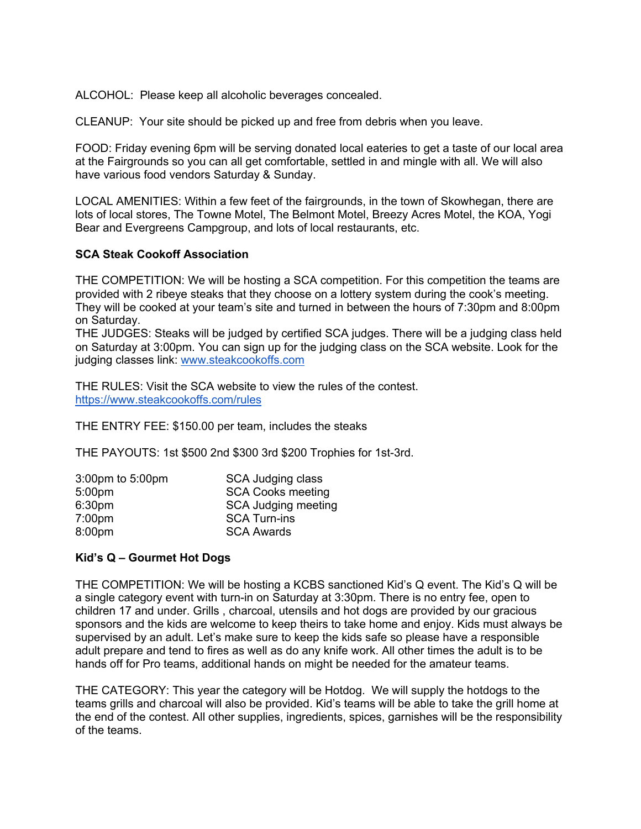ALCOHOL: Please keep all alcoholic beverages concealed.

CLEANUP: Your site should be picked up and free from debris when you leave.

FOOD: Friday evening 6pm will be serving donated local eateries to get a taste of our local area at the Fairgrounds so you can all get comfortable, settled in and mingle with all. We will also have various food vendors Saturday & Sunday.

LOCAL AMENITIES: Within a few feet of the fairgrounds, in the town of Skowhegan, there are lots of local stores, The Towne Motel, The Belmont Motel, Breezy Acres Motel, the KOA, Yogi Bear and Evergreens Campgroup, and lots of local restaurants, etc.

## **SCA Steak Cookoff Association**

THE COMPETITION: We will be hosting a SCA competition. For this competition the teams are provided with 2 ribeye steaks that they choose on a lottery system during the cook's meeting. They will be cooked at your team's site and turned in between the hours of 7:30pm and 8:00pm on Saturday.

THE JUDGES: Steaks will be judged by certified SCA judges. There will be a judging class held on Saturday at 3:00pm. You can sign up for the judging class on the SCA website. Look for the judging classes link: www.steakcookoffs.com

THE RULES: Visit the SCA website to view the rules of the contest. https://www.steakcookoffs.com/rules

THE ENTRY FEE: \$150.00 per team, includes the steaks

THE PAYOUTS: 1st \$500 2nd \$300 3rd \$200 Trophies for 1st-3rd.

| SCA Judging class          |
|----------------------------|
| <b>SCA Cooks meeting</b>   |
| <b>SCA Judging meeting</b> |
| <b>SCA Turn-ins</b>        |
| <b>SCA Awards</b>          |
|                            |

## **Kid's Q – Gourmet Hot Dogs**

THE COMPETITION: We will be hosting a KCBS sanctioned Kid's Q event. The Kid's Q will be a single category event with turn-in on Saturday at 3:30pm. There is no entry fee, open to children 17 and under. Grills , charcoal, utensils and hot dogs are provided by our gracious sponsors and the kids are welcome to keep theirs to take home and enjoy. Kids must always be supervised by an adult. Let's make sure to keep the kids safe so please have a responsible adult prepare and tend to fires as well as do any knife work. All other times the adult is to be hands off for Pro teams, additional hands on might be needed for the amateur teams.

THE CATEGORY: This year the category will be Hotdog. We will supply the hotdogs to the teams grills and charcoal will also be provided. Kid's teams will be able to take the grill home at the end of the contest. All other supplies, ingredients, spices, garnishes will be the responsibility of the teams.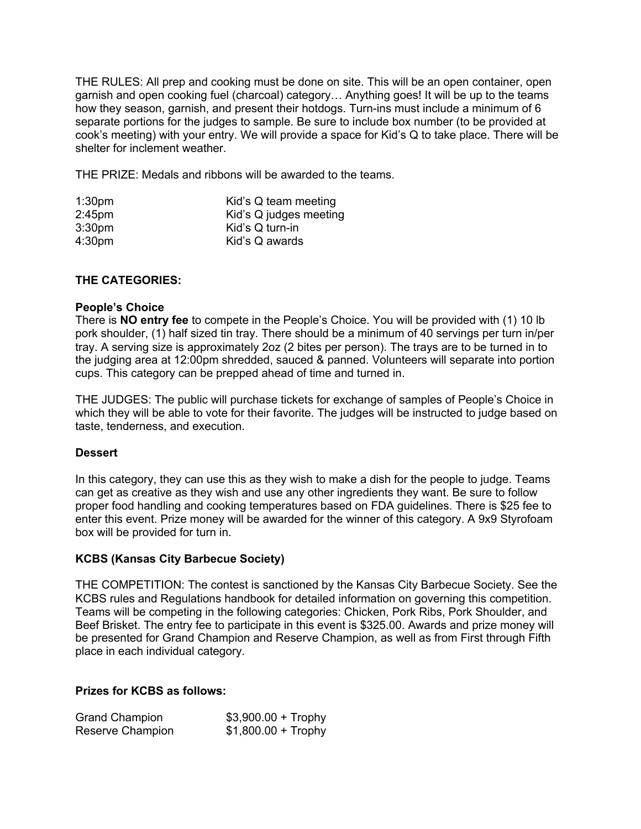THE RULES: All prep and cooking must be done on site. This will be an open container, open garnish and open cooking fuel (charcoal) category… Anything goes! It will be up to the teams how they season, garnish, and present their hotdogs. Turn-ins must include a minimum of 6 separate portions for the judges to sample. Be sure to include box number (to be provided at cook's meeting) with your entry. We will provide a space for Kid's Q to take place. There will be shelter for inclement weather.

THE PRIZE: Medals and ribbons will be awarded to the teams.

| 1:30 <sub>pm</sub> | Kid's Q team meeting   |
|--------------------|------------------------|
| 2:45 <sub>pm</sub> | Kid's Q judges meeting |
| 3:30 <sub>pm</sub> | Kid's Q turn-in        |
| 4:30 <sub>pm</sub> | Kid's Q awards         |

# **THE CATEGORIES:**

### **People's Choice**

There is **NO entry fee** to compete in the People's Choice. You will be provided with (1) 10 lb pork shoulder, (1) half sized tin tray. There should be a minimum of 40 servings per turn in/per tray. A serving size is approximately 2oz (2 bites per person). The trays are to be turned in to the judging area at 12:00pm shredded, sauced & panned. Volunteers will separate into portion cups. This category can be prepped ahead of time and turned in.

THE JUDGES: The public will purchase tickets for exchange of samples of People's Choice in which they will be able to vote for their favorite. The judges will be instructed to judge based on taste, tenderness, and execution.

#### **Dessert**

In this category, they can use this as they wish to make a dish for the people to judge. Teams can get as creative as they wish and use any other ingredients they want. Be sure to follow proper food handling and cooking temperatures based on FDA guidelines. There is \$25 fee to enter this event. Prize money will be awarded for the winner of this category. A 9x9 Styrofoam box will be provided for turn in.

## **KCBS (Kansas City Barbecue Society)**

THE COMPETITION: The contest is sanctioned by the Kansas City Barbecue Society. See the KCBS rules and Regulations handbook for detailed information on governing this competition. Teams will be competing in the following categories: Chicken, Pork Ribs, Pork Shoulder, and Beef Brisket. The entry fee to participate in this event is \$325.00. Awards and prize money will be presented for Grand Champion and Reserve Champion, as well as from First through Fifth place in each individual category.

### **Prizes for KCBS as follows:**

| <b>Grand Champion</b> | $$3,900.00 + Trophy$ |
|-----------------------|----------------------|
| Reserve Champion      | $$1,800.00 + Trophy$ |